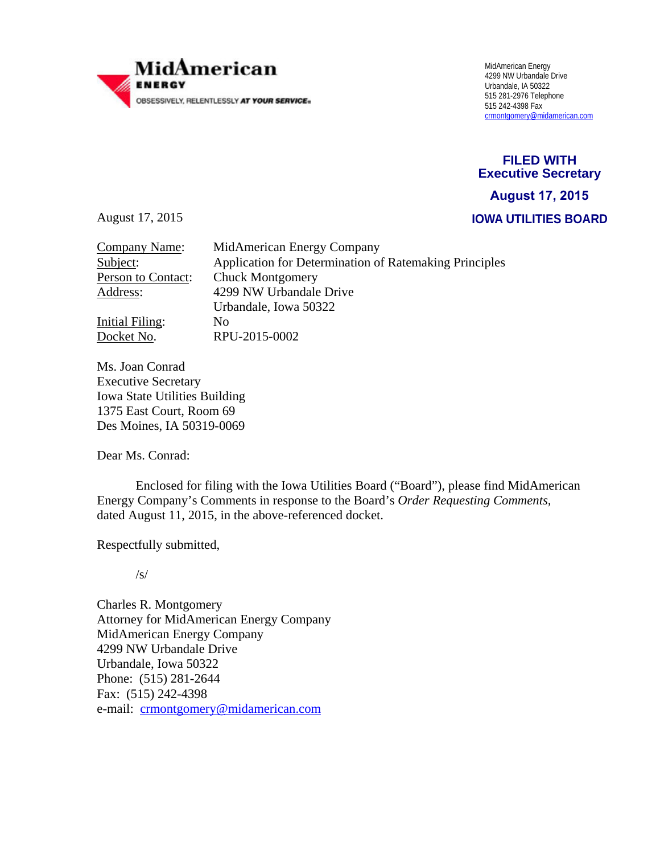

 4299 NW Urbandale Drive Urbandale, IA 50322 crmontgomery@midamerican.com

**FILED WITH Executive Secretary IOWA UTILITIES BOARD August 17, 2015**

August 17, 2015

| Company Name:      | MidAmerican Energy Company                             |  |
|--------------------|--------------------------------------------------------|--|
| Subject:           | Application for Determination of Ratemaking Principles |  |
| Person to Contact: | <b>Chuck Montgomery</b>                                |  |
| Address:           | 4299 NW Urbandale Drive                                |  |
|                    | Urbandale, Iowa 50322                                  |  |
| Initial Filing:    | No                                                     |  |
| Docket No.         | RPU-2015-0002                                          |  |
|                    |                                                        |  |

Ms. Joan Conrad Executive Secretary Iowa State Utilities Building 1375 East Court, Room 69 Des Moines, IA 50319-0069

Dear Ms. Conrad:

 Enclosed for filing with the Iowa Utilities Board ("Board"), please find MidAmerican Energy Company's Comments in response to the Board's *Order Requesting Comments,*  dated August 11, 2015, in the above-referenced docket.

Respectfully submitted,

/s/

Charles R. Montgomery Attorney for MidAmerican Energy Company MidAmerican Energy Company 4299 NW Urbandale Drive Urbandale, Iowa 50322 Phone: (515) 281-2644 Fax: (515) 242-4398 e-mail: crmontgomery@midamerican.com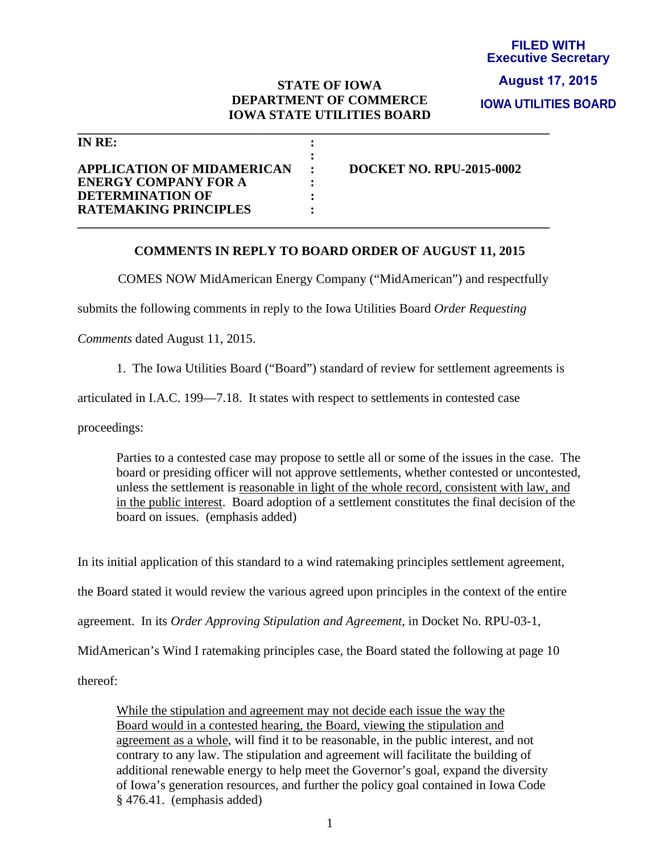## **STATE OF IOWA DEPARTMENT OF COMMERCE IOWA STATE UTILITIES BOARD**

**\_\_\_\_\_\_\_\_\_\_\_\_\_\_\_\_\_\_\_\_\_\_\_\_\_\_\_\_\_\_\_\_\_\_\_\_\_\_\_\_\_\_\_\_\_\_\_\_\_\_\_\_\_\_\_\_\_\_\_\_\_\_\_\_\_\_\_\_\_\_\_\_\_** 

| IN $RE:$                                         |                          |
|--------------------------------------------------|--------------------------|
| <b>APPLICATION OF MIDAMERICAN</b>                | DOCKET NO. RPU-2015-0002 |
| <b>ENERGY COMPANY FOR A</b>                      |                          |
| DETERMINATION OF<br><b>RATEMAKING PRINCIPLES</b> |                          |
|                                                  |                          |

## **COMMENTS IN REPLY TO BOARD ORDER OF AUGUST 11, 2015**

COMES NOW MidAmerican Energy Company ("MidAmerican") and respectfully

submits the following comments in reply to the Iowa Utilities Board *Order Requesting* 

*Comments* dated August 11, 2015.

1. The Iowa Utilities Board ("Board") standard of review for settlement agreements is

articulated in I.A.C. 199—7.18. It states with respect to settlements in contested case

proceedings:

Parties to a contested case may propose to settle all or some of the issues in the case. The board or presiding officer will not approve settlements, whether contested or uncontested, unless the settlement is reasonable in light of the whole record, consistent with law, and in the public interest. Board adoption of a settlement constitutes the final decision of the board on issues. (emphasis added)

In its initial application of this standard to a wind ratemaking principles settlement agreement, the Board stated it would review the various agreed upon principles in the context of the entire

agreement. In its *Order Approving Stipulation and Agreement,* in Docket No. RPU-03-1,

MidAmerican's Wind I ratemaking principles case, the Board stated the following at page 10

thereof:

While the stipulation and agreement may not decide each issue the way the Board would in a contested hearing, the Board, viewing the stipulation and agreement as a whole, will find it to be reasonable, in the public interest, and not contrary to any law. The stipulation and agreement will facilitate the building of additional renewable energy to help meet the Governor's goal, expand the diversity of Iowa's generation resources, and further the policy goal contained in Iowa Code § 476.41. (emphasis added)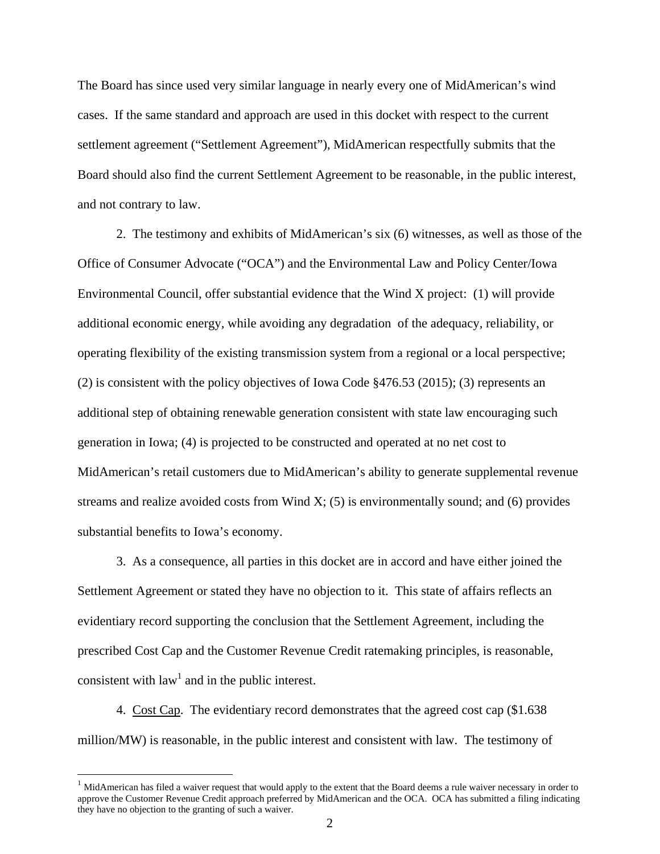The Board has since used very similar language in nearly every one of MidAmerican's wind cases. If the same standard and approach are used in this docket with respect to the current settlement agreement ("Settlement Agreement"), MidAmerican respectfully submits that the Board should also find the current Settlement Agreement to be reasonable, in the public interest, and not contrary to law.

2. The testimony and exhibits of MidAmerican's six (6) witnesses, as well as those of the Office of Consumer Advocate ("OCA") and the Environmental Law and Policy Center/Iowa Environmental Council, offer substantial evidence that the Wind X project: (1) will provide additional economic energy, while avoiding any degradation of the adequacy, reliability, or operating flexibility of the existing transmission system from a regional or a local perspective; (2) is consistent with the policy objectives of Iowa Code §476.53 (2015); (3) represents an additional step of obtaining renewable generation consistent with state law encouraging such generation in Iowa; (4) is projected to be constructed and operated at no net cost to MidAmerican's retail customers due to MidAmerican's ability to generate supplemental revenue streams and realize avoided costs from Wind  $X$ ; (5) is environmentally sound; and (6) provides substantial benefits to Iowa's economy.

3. As a consequence, all parties in this docket are in accord and have either joined the Settlement Agreement or stated they have no objection to it. This state of affairs reflects an evidentiary record supporting the conclusion that the Settlement Agreement, including the prescribed Cost Cap and the Customer Revenue Credit ratemaking principles, is reasonable, consistent with  $law<sup>1</sup>$  and in the public interest.

4. Cost Cap. The evidentiary record demonstrates that the agreed cost cap (\$1.638 million/MW) is reasonable, in the public interest and consistent with law. The testimony of

 $<sup>1</sup>$  MidAmerican has filed a waiver request that would apply to the extent that the Board deems a rule waiver necessary in order to</sup> approve the Customer Revenue Credit approach preferred by MidAmerican and the OCA. OCA has submitted a filing indicating they have no objection to the granting of such a waiver.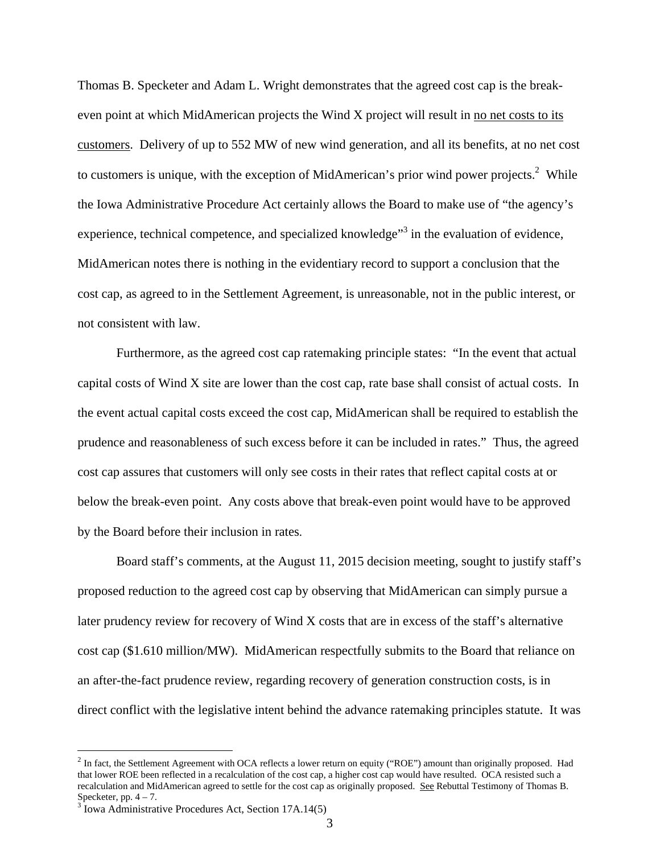Thomas B. Specketer and Adam L. Wright demonstrates that the agreed cost cap is the breakeven point at which MidAmerican projects the Wind X project will result in no net costs to its customers. Delivery of up to 552 MW of new wind generation, and all its benefits, at no net cost to customers is unique, with the exception of MidAmerican's prior wind power projects.<sup>2</sup> While the Iowa Administrative Procedure Act certainly allows the Board to make use of "the agency's experience, technical competence, and specialized knowledge<sup>33</sup> in the evaluation of evidence, MidAmerican notes there is nothing in the evidentiary record to support a conclusion that the cost cap, as agreed to in the Settlement Agreement, is unreasonable, not in the public interest, or not consistent with law.

Furthermore, as the agreed cost cap ratemaking principle states: "In the event that actual capital costs of Wind X site are lower than the cost cap, rate base shall consist of actual costs. In the event actual capital costs exceed the cost cap, MidAmerican shall be required to establish the prudence and reasonableness of such excess before it can be included in rates." Thus, the agreed cost cap assures that customers will only see costs in their rates that reflect capital costs at or below the break-even point. Any costs above that break-even point would have to be approved by the Board before their inclusion in rates.

Board staff's comments, at the August 11, 2015 decision meeting, sought to justify staff's proposed reduction to the agreed cost cap by observing that MidAmerican can simply pursue a later prudency review for recovery of Wind X costs that are in excess of the staff's alternative cost cap (\$1.610 million/MW). MidAmerican respectfully submits to the Board that reliance on an after-the-fact prudence review, regarding recovery of generation construction costs, is in direct conflict with the legislative intent behind the advance ratemaking principles statute. It was

1

 $<sup>2</sup>$  In fact, the Settlement Agreement with OCA reflects a lower return on equity ("ROE") amount than originally proposed. Had</sup> that lower ROE been reflected in a recalculation of the cost cap, a higher cost cap would have resulted. OCA resisted such a recalculation and MidAmerican agreed to settle for the cost cap as originally proposed. See Rebuttal Testimony of Thomas B. Specketer, pp.  $4 - 7$ .

<sup>&</sup>lt;sup>3</sup> Iowa Administrative Procedures Act, Section 17A.14(5)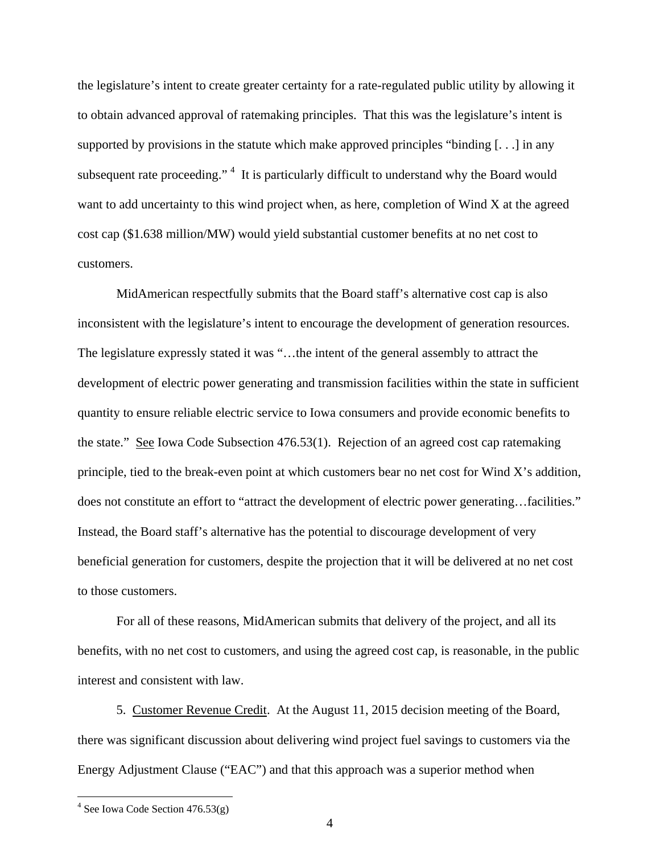the legislature's intent to create greater certainty for a rate-regulated public utility by allowing it to obtain advanced approval of ratemaking principles. That this was the legislature's intent is supported by provisions in the statute which make approved principles "binding [. . .] in any subsequent rate proceeding."<sup>4</sup> It is particularly difficult to understand why the Board would want to add uncertainty to this wind project when, as here, completion of Wind X at the agreed cost cap (\$1.638 million/MW) would yield substantial customer benefits at no net cost to customers.

MidAmerican respectfully submits that the Board staff's alternative cost cap is also inconsistent with the legislature's intent to encourage the development of generation resources. The legislature expressly stated it was "…the intent of the general assembly to attract the development of electric power generating and transmission facilities within the state in sufficient quantity to ensure reliable electric service to Iowa consumers and provide economic benefits to the state." See Iowa Code Subsection 476.53(1). Rejection of an agreed cost cap ratemaking principle, tied to the break-even point at which customers bear no net cost for Wind X's addition, does not constitute an effort to "attract the development of electric power generating…facilities." Instead, the Board staff's alternative has the potential to discourage development of very beneficial generation for customers, despite the projection that it will be delivered at no net cost to those customers.

For all of these reasons, MidAmerican submits that delivery of the project, and all its benefits, with no net cost to customers, and using the agreed cost cap, is reasonable, in the public interest and consistent with law.

5. Customer Revenue Credit. At the August 11, 2015 decision meeting of the Board, there was significant discussion about delivering wind project fuel savings to customers via the Energy Adjustment Clause ("EAC") and that this approach was a superior method when

 $4$  See Iowa Code Section 476.53(g)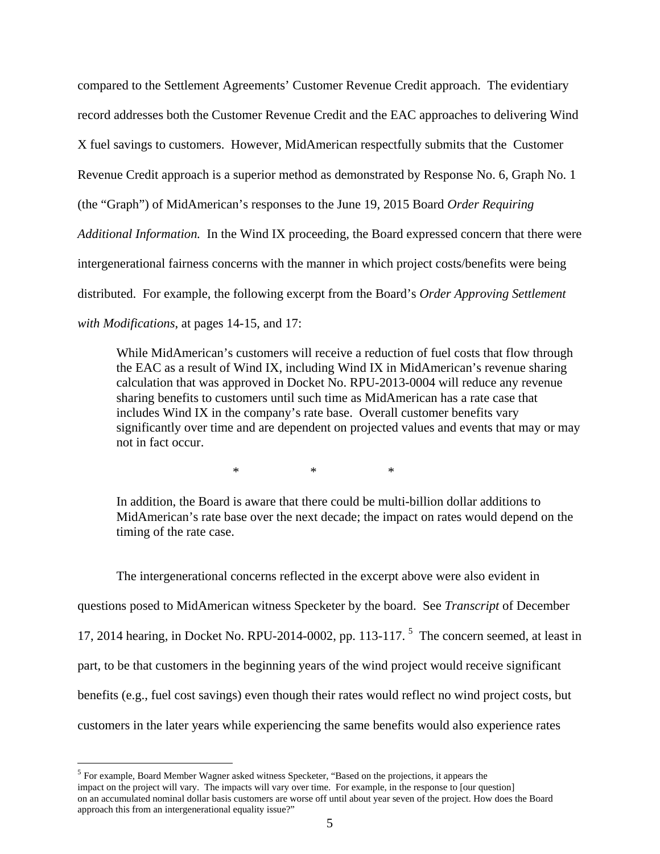compared to the Settlement Agreements' Customer Revenue Credit approach. The evidentiary record addresses both the Customer Revenue Credit and the EAC approaches to delivering Wind X fuel savings to customers. However, MidAmerican respectfully submits that the Customer Revenue Credit approach is a superior method as demonstrated by Response No. 6, Graph No. 1 (the "Graph") of MidAmerican's responses to the June 19, 2015 Board *Order Requiring Additional Information.* In the Wind IX proceeding, the Board expressed concern that there were intergenerational fairness concerns with the manner in which project costs/benefits were being distributed. For example, the following excerpt from the Board's *Order Approving Settlement with Modifications*, at pages 14-15, and 17:

While MidAmerican's customers will receive a reduction of fuel costs that flow through the EAC as a result of Wind IX, including Wind IX in MidAmerican's revenue sharing calculation that was approved in Docket No. RPU-2013-0004 will reduce any revenue sharing benefits to customers until such time as MidAmerican has a rate case that includes Wind IX in the company's rate base. Overall customer benefits vary significantly over time and are dependent on projected values and events that may or may not in fact occur.

\* \* \*

In addition, the Board is aware that there could be multi-billion dollar additions to MidAmerican's rate base over the next decade; the impact on rates would depend on the timing of the rate case.

The intergenerational concerns reflected in the excerpt above were also evident in questions posed to MidAmerican witness Specketer by the board. See *Transcript* of December 17, 2014 hearing, in Docket No. RPU-2014-0002, pp. 113-117.  $<sup>5</sup>$  The concern seemed, at least in</sup> part, to be that customers in the beginning years of the wind project would receive significant benefits (e.g., fuel cost savings) even though their rates would reflect no wind project costs, but customers in the later years while experiencing the same benefits would also experience rates

<sup>&</sup>lt;sup>5</sup> For example, Board Member Wagner asked witness Specketer, "Based on the projections, it appears the impact on the project will vary. The impacts will vary over time. For example, in the response to [our question] on an accumulated nominal dollar basis customers are worse off until about year seven of the project. How does the Board approach this from an intergenerational equality issue?"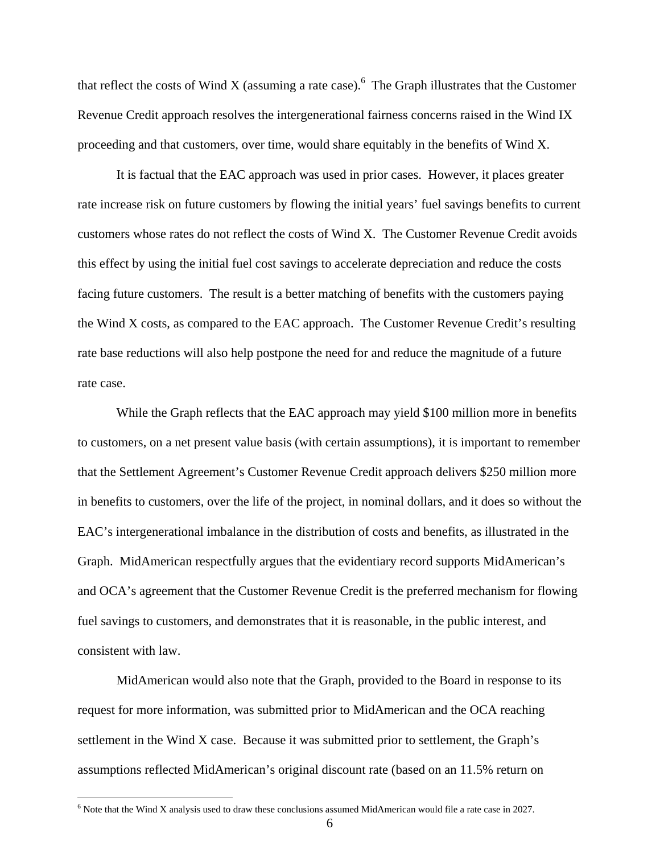that reflect the costs of Wind X (assuming a rate case). <sup>6</sup> The Graph illustrates that the Customer Revenue Credit approach resolves the intergenerational fairness concerns raised in the Wind IX proceeding and that customers, over time, would share equitably in the benefits of Wind X.

It is factual that the EAC approach was used in prior cases. However, it places greater rate increase risk on future customers by flowing the initial years' fuel savings benefits to current customers whose rates do not reflect the costs of Wind X. The Customer Revenue Credit avoids this effect by using the initial fuel cost savings to accelerate depreciation and reduce the costs facing future customers. The result is a better matching of benefits with the customers paying the Wind X costs, as compared to the EAC approach. The Customer Revenue Credit's resulting rate base reductions will also help postpone the need for and reduce the magnitude of a future rate case.

While the Graph reflects that the EAC approach may yield \$100 million more in benefits to customers, on a net present value basis (with certain assumptions), it is important to remember that the Settlement Agreement's Customer Revenue Credit approach delivers \$250 million more in benefits to customers, over the life of the project, in nominal dollars, and it does so without the EAC's intergenerational imbalance in the distribution of costs and benefits, as illustrated in the Graph. MidAmerican respectfully argues that the evidentiary record supports MidAmerican's and OCA's agreement that the Customer Revenue Credit is the preferred mechanism for flowing fuel savings to customers, and demonstrates that it is reasonable, in the public interest, and consistent with law.

 MidAmerican would also note that the Graph, provided to the Board in response to its request for more information, was submitted prior to MidAmerican and the OCA reaching settlement in the Wind X case. Because it was submitted prior to settlement, the Graph's assumptions reflected MidAmerican's original discount rate (based on an 11.5% return on

<sup>&</sup>lt;sup>6</sup> Note that the Wind X analysis used to draw these conclusions assumed MidAmerican would file a rate case in 2027.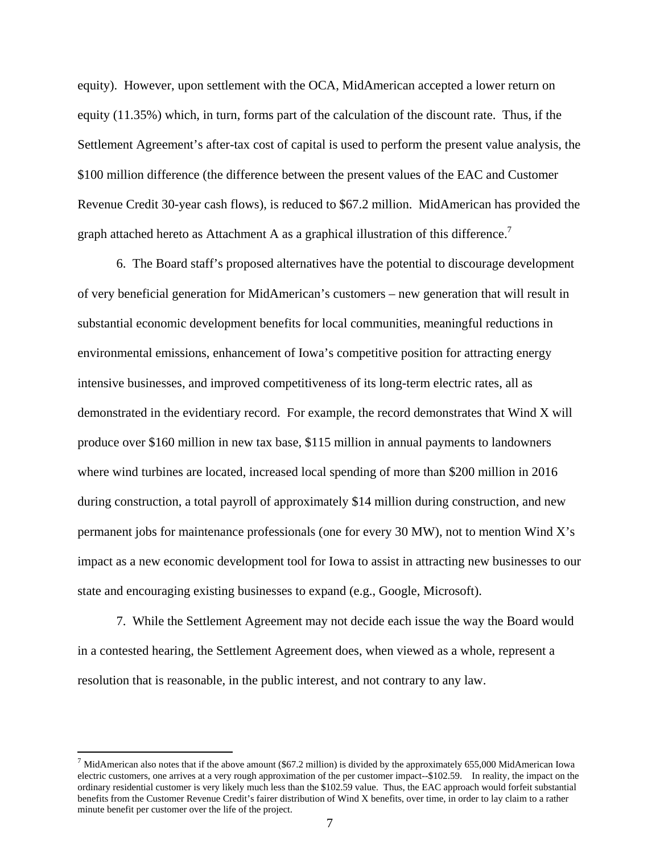equity). However, upon settlement with the OCA, MidAmerican accepted a lower return on equity (11.35%) which, in turn, forms part of the calculation of the discount rate. Thus, if the Settlement Agreement's after-tax cost of capital is used to perform the present value analysis, the \$100 million difference (the difference between the present values of the EAC and Customer Revenue Credit 30-year cash flows), is reduced to \$67.2 million. MidAmerican has provided the graph attached hereto as Attachment A as a graphical illustration of this difference.<sup>7</sup>

6. The Board staff's proposed alternatives have the potential to discourage development of very beneficial generation for MidAmerican's customers – new generation that will result in substantial economic development benefits for local communities, meaningful reductions in environmental emissions, enhancement of Iowa's competitive position for attracting energy intensive businesses, and improved competitiveness of its long-term electric rates, all as demonstrated in the evidentiary record. For example, the record demonstrates that Wind X will produce over \$160 million in new tax base, \$115 million in annual payments to landowners where wind turbines are located, increased local spending of more than \$200 million in 2016 during construction, a total payroll of approximately \$14 million during construction, and new permanent jobs for maintenance professionals (one for every 30 MW), not to mention Wind X's impact as a new economic development tool for Iowa to assist in attracting new businesses to our state and encouraging existing businesses to expand (e.g., Google, Microsoft).

 7. While the Settlement Agreement may not decide each issue the way the Board would in a contested hearing, the Settlement Agreement does, when viewed as a whole, represent a resolution that is reasonable, in the public interest, and not contrary to any law.

 $^7$  MidAmerican also notes that if the above amount (\$67.2 million) is divided by the approximately 655,000 MidAmerican Iowa electric customers, one arrives at a very rough approximation of the per customer impact--\$102.59. In reality, the impact on the ordinary residential customer is very likely much less than the \$102.59 value. Thus, the EAC approach would forfeit substantial benefits from the Customer Revenue Credit's fairer distribution of Wind X benefits, over time, in order to lay claim to a rather minute benefit per customer over the life of the project.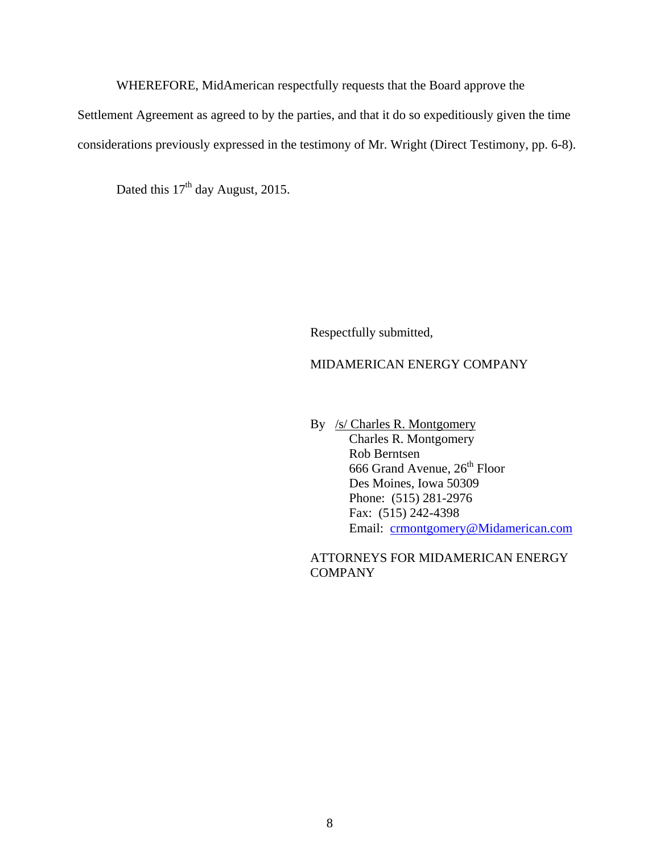WHEREFORE, MidAmerican respectfully requests that the Board approve the

Settlement Agreement as agreed to by the parties, and that it do so expeditiously given the time

considerations previously expressed in the testimony of Mr. Wright (Direct Testimony, pp. 6-8).

Dated this 17<sup>th</sup> day August, 2015.

Respectfully submitted,

## MIDAMERICAN ENERGY COMPANY

 By /s/ Charles R. Montgomery Charles R. Montgomery Rob Berntsen 666 Grand Avenue,  $26^{\text{th}}$  Floor Des Moines, Iowa 50309 Phone: (515) 281-2976 Fax: (515) 242-4398 Email: crmontgomery@Midamerican.com

ATTORNEYS FOR MIDAMERICAN ENERGY COMPANY